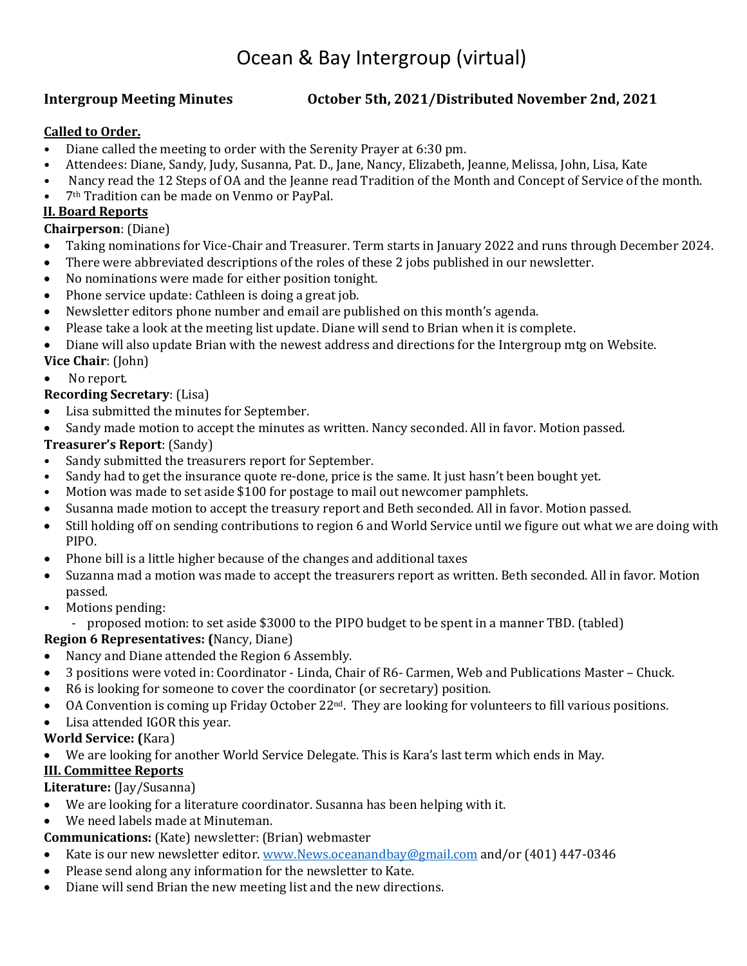## Ocean & Bay Intergroup (virtual)

#### **Intergroup Meeting Minutes October 5th, 2021/Distributed November 2nd, 2021**

#### **Called to Order.**

- Diane called the meeting to order with the Serenity Prayer at 6:30 pm.
- Attendees: Diane, Sandy, Judy, Susanna, Pat. D., Jane, Nancy, Elizabeth, Jeanne, Melissa, John, Lisa, Kate
- Nancy read the 12 Steps of OA and the Jeanne read Tradition of the Month and Concept of Service of the month.
- 7th Tradition can be made on Venmo or PayPal.

#### **II. Board Reports**

#### **Chairperson**: (Diane)

- Taking nominations for Vice-Chair and Treasurer. Term starts in January 2022 and runs through December 2024.
- There were abbreviated descriptions of the roles of these 2 jobs published in our newsletter.
- No nominations were made for either position tonight.
- Phone service update: Cathleen is doing a great job.
- Newsletter editors phone number and email are published on this month's agenda.
- Please take a look at the meeting list update. Diane will send to Brian when it is complete.
- Diane will also update Brian with the newest address and directions for the Intergroup mtg on Website.
- **Vice Chair**: (John)

#### No report.

#### **Recording Secretary**: (Lisa)

- Lisa submitted the minutes for September.
- Sandy made motion to accept the minutes as written. Nancy seconded. All in favor. Motion passed.

# **Treasurer's Report**: (Sandy)

- Sandy submitted the treasurers report for September.
- Sandy had to get the insurance quote re-done, price is the same. It just hasn't been bought yet.
- Motion was made to set aside \$100 for postage to mail out newcomer pamphlets.
- Susanna made motion to accept the treasury report and Beth seconded. All in favor. Motion passed.
- Still holding off on sending contributions to region 6 and World Service until we figure out what we are doing with PIPO.
- Phone bill is a little higher because of the changes and additional taxes
- Suzanna mad a motion was made to accept the treasurers report as written. Beth seconded. All in favor. Motion passed.
- Motions pending:
	- proposed motion: to set aside \$3000 to the PIPO budget to be spent in a manner TBD. (tabled)

#### **Region 6 Representatives: (**Nancy, Diane)

- Nancy and Diane attended the Region 6 Assembly.
- 3 positions were voted in: Coordinator Linda, Chair of R6- Carmen, Web and Publications Master Chuck.
- R6 is looking for someone to cover the coordinator (or secretary) position.
- OA Convention is coming up Friday October 22nd. They are looking for volunteers to fill various positions.
- Lisa attended IGOR this year.

#### **World Service: (**Kara)

• We are looking for another World Service Delegate. This is Kara's last term which ends in May.

#### **III. Committee Reports**

#### **Literature:** (Jay/Susanna)

- We are looking for a literature coordinator. Susanna has been helping with it.
- We need labels made at Minuteman.

#### **Communications:** (Kate) newsletter: (Brian) webmaster

- Kate is our new newsletter editor[. www.News.oceanandbay@gmail.com](http://www.News.oceanandbay@gmail.com) and/or (401) 447-0346
- Please send along any information for the newsletter to Kate.
- Diane will send Brian the new meeting list and the new directions.